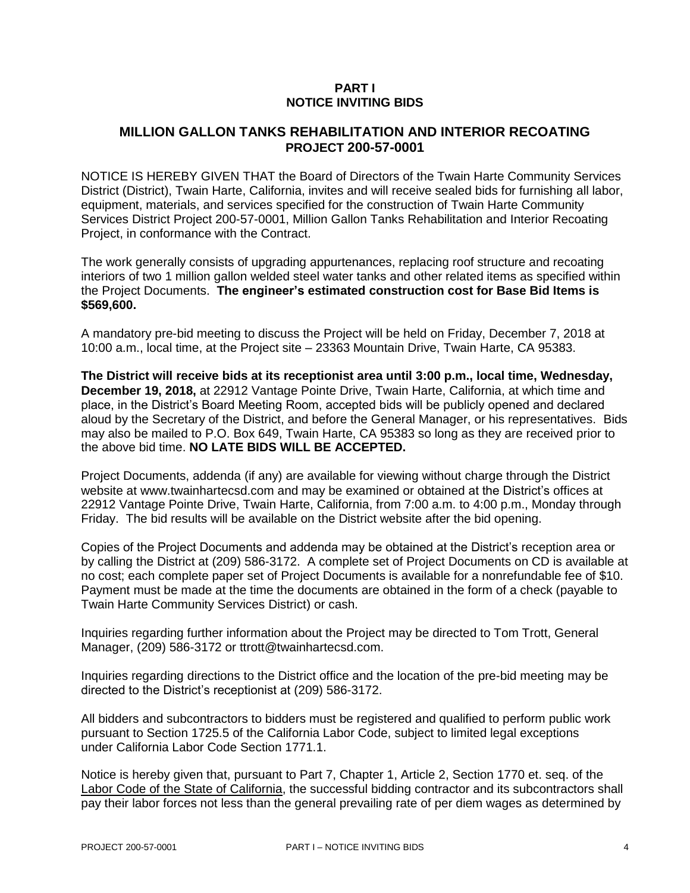## **PART I NOTICE INVITING BIDS**

## **MILLION GALLON TANKS REHABILITATION AND INTERIOR RECOATING PROJECT 200-57-0001**

NOTICE IS HEREBY GIVEN THAT the Board of Directors of the Twain Harte Community Services District (District), Twain Harte, California, invites and will receive sealed bids for furnishing all labor, equipment, materials, and services specified for the construction of Twain Harte Community Services District Project 200-57-0001, Million Gallon Tanks Rehabilitation and Interior Recoating Project, in conformance with the Contract.

The work generally consists of upgrading appurtenances, replacing roof structure and recoating interiors of two 1 million gallon welded steel water tanks and other related items as specified within the Project Documents. **The engineer's estimated construction cost for Base Bid Items is \$569,600.**

A mandatory pre-bid meeting to discuss the Project will be held on Friday, December 7, 2018 at 10:00 a.m., local time, at the Project site – 23363 Mountain Drive, Twain Harte, CA 95383.

**The District will receive bids at its receptionist area until 3:00 p.m., local time, Wednesday, December 19, 2018,** at 22912 Vantage Pointe Drive, Twain Harte, California, at which time and place, in the District's Board Meeting Room, accepted bids will be publicly opened and declared aloud by the Secretary of the District, and before the General Manager, or his representatives. Bids may also be mailed to P.O. Box 649, Twain Harte, CA 95383 so long as they are received prior to the above bid time. **NO LATE BIDS WILL BE ACCEPTED.**

Project Documents, addenda (if any) are available for viewing without charge through the District website at www.twainhartecsd.com and may be examined or obtained at the District's offices at 22912 Vantage Pointe Drive, Twain Harte, California, from 7:00 a.m. to 4:00 p.m., Monday through Friday. The bid results will be available on the District website after the bid opening.

Copies of the Project Documents and addenda may be obtained at the District's reception area or by calling the District at (209) 586-3172. A complete set of Project Documents on CD is available at no cost; each complete paper set of Project Documents is available for a nonrefundable fee of \$10. Payment must be made at the time the documents are obtained in the form of a check (payable to Twain Harte Community Services District) or cash.

Inquiries regarding further information about the Project may be directed to Tom Trott, General Manager, (209) 586-3172 or ttrott@twainhartecsd.com.

Inquiries regarding directions to the District office and the location of the pre-bid meeting may be directed to the District's receptionist at (209) 586-3172.

All bidders and subcontractors to bidders must be registered and qualified to perform public work pursuant to Section 1725.5 of the California Labor Code, subject to limited legal exceptions under California Labor Code Section 1771.1.

Notice is hereby given that, pursuant to Part 7, Chapter 1, Article 2, Section 1770 et. seq. of the Labor Code of the State of California, the successful bidding contractor and its subcontractors shall pay their labor forces not less than the general prevailing rate of per diem wages as determined by